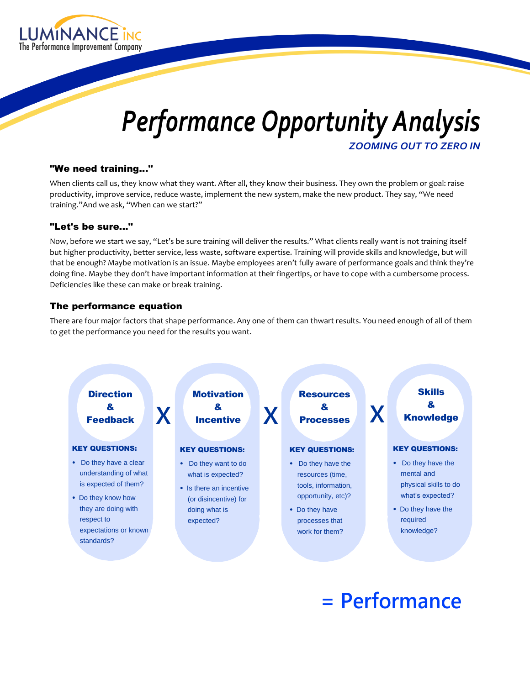

# *Performance Opportunity Analysis ZOOMING OUT TO ZERO IN*

#### "We need training..."

When clients call us, they know what they want. After all, they know their business. They own the problem or goal: raise productivity, improve service, reduce waste, implement the new system, make the new product. They say, "We need training."And we ask, "When can we start?"

## "Let's be sure..."

Now, before we start we say, "Let's be sure training will deliver the results." What clients really want is not training itself but higher productivity, better service, less waste, software expertise. Training will provide skills and knowledge, but will that be enough? Maybe motivation is an issue. Maybe employees aren't fully aware of performance goals and think they're doing fine. Maybe they don't have important information at their fingertips, or have to cope with a cumbersome process. Deficiencies like these can make or break training.

## The performance equation

There are four major factors that shape performance. Any one of them can thwart results. You need enough of all of them to get the performance you need for the results you want.



# **= Performance**